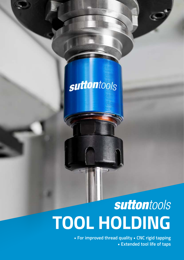# suttontools

# suttontools **TOOL HOLDING**

**• For improved thread quality • CNC rigid tapping • Extended tool life of taps**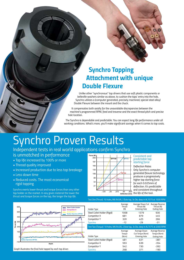

### *Synchro Tapping Attachment with unique Double Flexure*

*Unlike other "synchronous" tap drivers that use soft plastic components or belleville washers similar as above, to cushion the taps' entry into the hole, Synchro utilizes a (computer generated, precisely machined, special steel alloy) Double Flexure between the mount and the chuck.*

It compensates both axially for the unavoidable discrepancies between the *machine's programmed RPM, feed and traverse and the exact thread pitch and precise hole location.*

*The Synchro is dependable and predictable. You can expect long life performance under all working conditions. What's more, you'll make significant savings when it comes to tap costs.* 

## *Synchro Proven Results*

*Independent tests in real world applications confirm Synchro is unmatched in performance*

- *Tap life increased by 100% or more*
- *Thread quality improved*
- *Increased production due to less tap breakage*
- *Less down time*
- *Reduced costs. The most economical rigid tapping*

*Synchro exerts lower thrust and torque forces than any other*  tap holder on the market. In any given material the lower the *thrust and torque forces on the tap, the longer the tap life.*



#### *Consistent and predictable tap starting force*

*Deflection Rates*

*Only Synchro's computer generated flexure technology produces a progressively higher tap starting force for each 0.025mm of deflection. It's predictable and consistent throughout the life of the tool.*

*Test One (Thrust): 10 holes, M6 R45Al, 2 flute tap, 3x Dia. deep in AL7075 at 1000 RPM*



| Test One (Thrust): 10 holes, M6 R45Al, 2 flute tap, 3x Dia. deep in AL7075 at 1000 RPM |                          |                                                        |                                                      |  |  |  |
|----------------------------------------------------------------------------------------|--------------------------|--------------------------------------------------------|------------------------------------------------------|--|--|--|
| Holder Type                                                                            | Average<br>Thrust<br>(N) | Average Down Cut<br>Thrust (N)<br><b>Entering Hole</b> | Average Reverse<br>Thrust (N)<br><b>Exiting Hole</b> |  |  |  |
| Steel Collet Holder (Rigid)                                                            | 1008                     | 1379                                                   | 930                                                  |  |  |  |
| Competitor X                                                                           | 681                      | 879                                                    | 445                                                  |  |  |  |
| <b>Competitor Y</b>                                                                    | 320                      | 425                                                    | 266                                                  |  |  |  |
| <b>Synchro</b>                                                                         | $-12$                    | $-29$                                                  | $-31$                                                |  |  |  |
| Test Two (Torque): 10 holes, M6 R45Al, 2 flute tap, 3x Dia. deep in AL7075 at 2000 RPM |                          |                                                        |                                                      |  |  |  |
|                                                                                        |                          |                                                        |                                                      |  |  |  |
|                                                                                        | Average                  | Average Down                                           | Average Reverse                                      |  |  |  |
|                                                                                        | Torque                   | Cut Torque (Ncm)                                       | Torque (Ncm)                                         |  |  |  |
| Holder Type                                                                            | (Ncm)                    | <b>Entering Hole</b>                                   | <b>Exiting Hole</b>                                  |  |  |  |
| Steel Collet Holder (Rigid)                                                            | 481                      | 631                                                    | $-387$                                               |  |  |  |
| Competitor X                                                                           | 593                      | 639                                                    | $-354$                                               |  |  |  |
| <b>Competitor Y</b>                                                                    | 542                      | 730                                                    | $-392$                                               |  |  |  |

*Graph illustrates the final hole tapped by each tap driver.*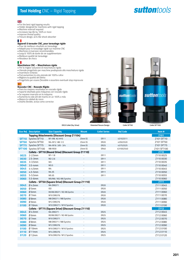## **suttontools**

#### $\frac{N}{N}$

- *For the best rigid tapping results*
- *Holder designed for machines with rigid tapping • Machine reversal required*
- *Increases tap life by 100% or more*
- *Improve thread quality*
- *Flexure design, acts like shock absorber*

#### **Tara**

### *Appareil à tarauder CNC, pour taraudage rigide • Pour de meilleurs résultats en taraudage*

- 
- *Adapté pour le taraudage rigide sur machine CNC*
- *Machines à inversion recommandées • Jusqu'à 100% de durée de vie supplémentaire*
- *Meilleure qualité de taraudage*
- *Absobeur de chocs*

#### П

### *Maschiatore CNC – Maschiatura rigida • Per la miglior soluzione di maschiatura rigida*

- *Utensile progettato per macchine predisposte alla maschiatura rigida*
- *Invertitore richiesto*
- *Può aumentare la vita utensile del 100% e oltre*
- *Migliora la qualità del filetto*
- *Progettato per essere flessibile e assorbire eventuali stop improvvisi*

#### $\overline{a}$

#### *Roscador CNC - Roscado Rígido*

- *Para los mejores resultados en roscado rígido*
- *Soporte diseñado para máquinas con roscado rígido*
- *Se requiere inversión en la máquina.*
- *Aumenta la vida útil del macho en un 100% o más*
- *Mejora la calidad de rosca • Diseño flexible, actúa como corrector.*









|  | I |
|--|---|

|              | <b>Size Ref. Description</b>                         | <b>Size Capacity</b>                                         | <b>Mount</b>             | <b>Collet Series</b> | <b>Ref Code</b> | Item#       |  |
|--------------|------------------------------------------------------|--------------------------------------------------------------|--------------------------|----------------------|-----------------|-------------|--|
|              |                                                      | <b>Tapping Attachments (Discount Group Z1104)</b>            |                          |                      |                 | Z101        |  |
|              | <b>SFT10</b> Synchro SFT10                           | M1-M6 #2-#10                                                 | 25mm SS                  | <b>ER11</b>          | 43102511        | Z101 SFT10  |  |
| <b>SFT50</b> | Synchro SFT50                                        | M4-M12 #8-1/2                                                | 25mm SS                  | <b>ER20</b>          | 43502520        | Z101 SFT50  |  |
| <b>SFT75</b> | Synchro SFT75                                        | M4-M16 3/8 - 3/4                                             | 25mm SS                  | <b>ER25</b>          | 43752525        | Z101 SFT75  |  |
|              | SFT100 Synchro SFT100                                | M8-M30                                                       | 25mm SS                  | <b>ER40</b>          | 431002540       | Z101 SFT100 |  |
|              | Collets - SFT10 (Round Drive) (Discount Group Z1110) |                                                              |                          |                      |                 |             |  |
| 0025         | $2-2.5$ mm                                           | $M1-1.8$                                                     |                          | <b>ER11</b>          |                 | Z1100025    |  |
| 0030         | $2.5 - 3mm$                                          | $M2 - 2.6$                                                   |                          | <b>ER11</b>          |                 | Z1100030    |  |
| 0035         | $3-3.5$ mm                                           | M3                                                           | ÷                        | <b>ER11</b>          |                 | Z110 0035   |  |
| 0040         | $3.5 - 4mm$                                          | M3.5                                                         |                          | <b>ER11</b>          |                 | Z1100040    |  |
| 0045         | $4 - 4.5$ mm                                         | M4                                                           | ٠                        | <b>ER11</b>          |                 | Z1100045    |  |
| 0050         | $4.5 - 5$ mm                                         | M4 JIS                                                       |                          | <b>ER11</b>          |                 | Z1100050    |  |
| 0055         | 5-5.5mm                                              | M5 JIS                                                       |                          | <b>ER11</b>          |                 | Z1100055    |  |
| 0060         | 5.5-6mm                                              | M5/M6 / M2-M6 Synchro                                        |                          |                      |                 | Z1100060    |  |
|              |                                                      | <b>Collets - SFT50 (Square Drive) (Discount Group Z1110)</b> |                          |                      |                 | <b>Z111</b> |  |
| 0045         | $Ø$ 4.5mm                                            | M4 DIN371                                                    |                          | <b>ER20</b>          |                 | Z1110045    |  |
| 0050         | $\emptyset$ 5mm                                      | ISO                                                          |                          | <b>ER20</b>          |                 | Z1110050    |  |
| 0060         | $Ø$ 6mm                                              | M5/M6 DIN371 / M2-M6 Synchro                                 |                          | <b>ER20</b>          |                 | Z1110060    |  |
| 0070         | Ø7mm                                                 | M10 DIN376                                                   |                          | <b>ER20</b>          |                 | Z1110070    |  |
| 0080         | $Ø$ 8mm                                              | M8 DIN371 / M8 Synchro                                       |                          | <b>ER20</b>          |                 | Z1110080    |  |
| 0090         | $Ø$ 9mm                                              | M12 DIN376                                                   |                          | <b>ER20</b>          |                 | Z1110090    |  |
| 0100         | $Ø$ 10mm                                             | M10 DIN371 / M10 Synchro                                     |                          | <b>ER20</b>          |                 | Z1110100    |  |
|              |                                                      | <b>Collets - SFT75 (Square Drive) (Discount Group Z1110)</b> |                          |                      |                 | Z112        |  |
| 0045         | $Ø$ 4.5mm                                            | M4 DIN371                                                    |                          | <b>ER25</b>          |                 | Z112 0045   |  |
| 0060         | $Ø$ 6mm                                              | M5/M6 DIN371 / M2-M6 Synchro                                 |                          | <b>ER25</b>          |                 | Z1120060    |  |
| 0070         | Ø7mm                                                 | M10 DIN371                                                   | -                        | <b>ER25</b>          |                 | Z1120070    |  |
| 0080         | $Ø$ 8mm                                              | M8 DIN371 / M8 Synchro                                       | ä,                       | <b>ER25</b>          |                 | Z1120080    |  |
| 0090         | $Ø$ 9mm                                              | M12 DIN376                                                   | $\overline{\phantom{a}}$ | <b>ER25</b>          |                 | Z1120090    |  |
| 0100         | $Ø$ 10mm                                             | M10 DIN371 / M10 Synchro                                     |                          | <b>ER25</b>          |                 | Z1120100    |  |
| 0110         | $Ø$ 11mm                                             | M14 DIN376                                                   | $\overline{\phantom{a}}$ | <b>ER25</b>          |                 | Z1120110    |  |
| 0120         | $Ø$ 12mm                                             | M16 DIN376 / M12 Synchro                                     | ä,                       | <b>ER25</b>          |                 | Z1120120    |  |